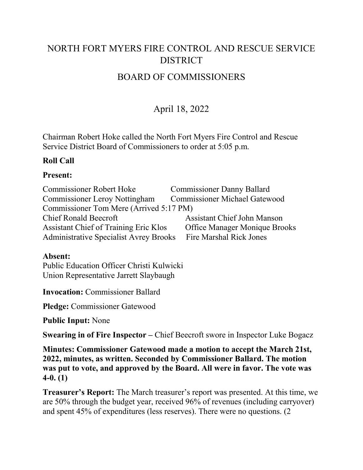# NORTH FORT MYERS FIRE CONTROL AND RESCUE SERVICE **DISTRICT**

# BOARD OF COMMISSIONERS

# April 18, 2022

Chairman Robert Hoke called the North Fort Myers Fire Control and Rescue Service District Board of Commissioners to order at 5:05 p.m.

## **Roll Call**

## **Present:**

| <b>Commissioner Robert Hoke</b>               | <b>Commissioner Danny Ballard</b>    |
|-----------------------------------------------|--------------------------------------|
| <b>Commissioner Leroy Nottingham</b>          | <b>Commissioner Michael Gatewood</b> |
| Commissioner Tom Mere (Arrived 5:17 PM)       |                                      |
| <b>Chief Ronald Beecroft</b>                  | <b>Assistant Chief John Manson</b>   |
| <b>Assistant Chief of Training Eric Klos</b>  | <b>Office Manager Monique Brooks</b> |
| <b>Administrative Specialist Avrey Brooks</b> | <b>Fire Marshal Rick Jones</b>       |

## **Absent:**

Public Education Officer Christi Kulwicki Union Representative Jarrett Slaybaugh

**Invocation:** Commissioner Ballard

**Pledge:** Commissioner Gatewood

**Public Input:** None

**Swearing in of Fire Inspector –** Chief Beecroft swore in Inspector Luke Bogacz

**Minutes: Commissioner Gatewood made a motion toaccept the March 21st, 2022, minutes, as written. Seconded by Commissioner Ballard. The motion was put to vote, and approved by the Board.All were in favor. The vote was 4-0. (1)**

**Treasurer's Report:** The March treasurer's report was presented. At this time, we are 50% through the budget year, received 96% of revenues (including carryover) and spent 45% of expenditures (less reserves). There were no questions. (2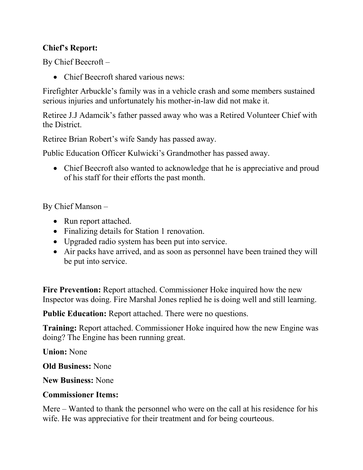## **Chief's Report:**

By Chief Beecroft –

• Chief Beecroft shared various news:

Firefighter Arbuckle's family was in a vehicle crash and some members sustained serious injuries and unfortunately his mother-in-law did not make it.

Retiree J.J Adamcik's father passed away who was a Retired Volunteer Chief with the District.

Retiree Brian Robert's wife Sandy has passed away.

Public Education Officer Kulwicki's Grandmother has passed away.

• Chief Beecroft also wanted to acknowledge that he is appreciative and proud of his staff for their efforts the past month.

By Chief Manson –

- Run report attached.
- Finalizing details for Station 1 renovation.
- Upgraded radio system has been put into service.
- Air packs have arrived, and as soon as personnel have been trained they will be put into service.

**Fire Prevention:** Report attached. Commissioner Hoke inquired how the new Inspector was doing. Fire Marshal Jones replied he is doing well and still learning.

**Public Education:** Report attached. There were no questions.

**Training:** Report attached. Commissioner Hoke inquired how the new Engine was doing? The Engine has been running great.

**Union:** None

**Old Business:** None

**New Business:** None

## **Commissioner Items:**

Mere – Wanted to thank the personnel who were on the call at his residence for his wife. He was appreciative for their treatment and for being courteous.